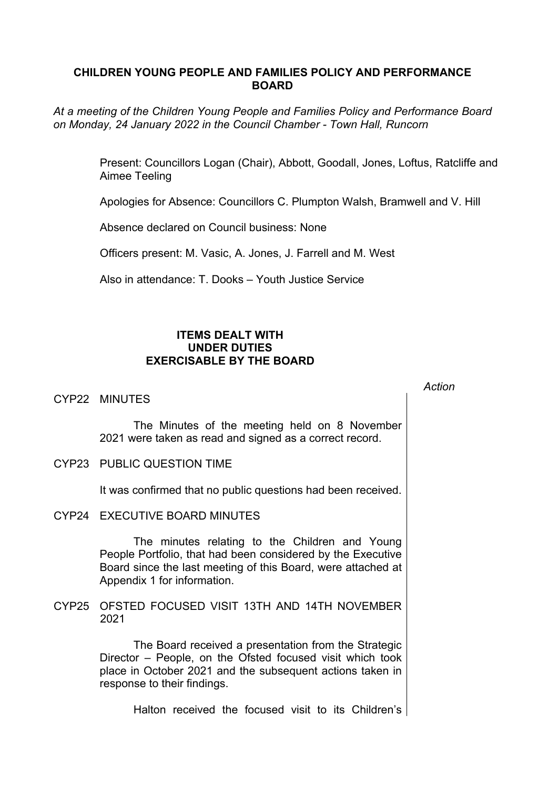# **CHILDREN YOUNG PEOPLE AND FAMILIES POLICY AND PERFORMANCE BOARD**

*At a meeting of the Children Young People and Families Policy and Performance Board on Monday, 24 January 2022 in the Council Chamber - Town Hall, Runcorn*

> Present: Councillors Logan (Chair), Abbott, Goodall, Jones, Loftus, Ratcliffe and Aimee Teeling

Apologies for Absence: Councillors C. Plumpton Walsh, Bramwell and V. Hill

Absence declared on Council business: None

Officers present: M. Vasic, A. Jones, J. Farrell and M. West

Also in attendance: T. Dooks – Youth Justice Service

# **ITEMS DEALT WITH UNDER DUTIES EXERCISABLE BY THE BOARD**

### CYP22 MINUTES

The Minutes of the meeting held on 8 November 2021 were taken as read and signed as a correct record.

CYP23 PUBLIC QUESTION TIME

It was confirmed that no public questions had been received.

CYP24 EXECUTIVE BOARD MINUTES

The minutes relating to the Children and Young People Portfolio, that had been considered by the Executive Board since the last meeting of this Board, were attached at Appendix 1 for information.

CYP25 OFSTED FOCUSED VISIT 13TH AND 14TH NOVEMBER 2021

> The Board received a presentation from the Strategic Director – People, on the Ofsted focused visit which took place in October 2021 and the subsequent actions taken in response to their findings.

> > Halton received the focused visit to its Children's

*Action*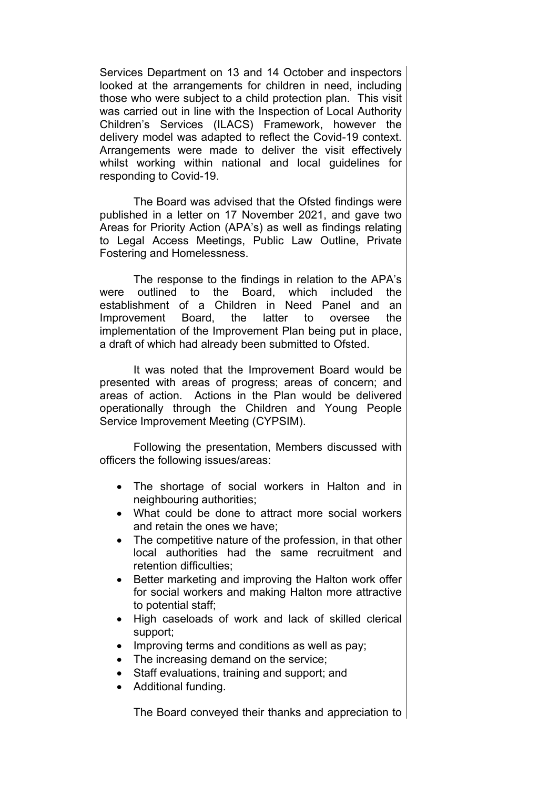Services Department on 13 and 14 October and inspectors looked at the arrangements for children in need, including those who were subject to a child protection plan. This visit was carried out in line with the Inspection of Local Authority Children's Services (ILACS) Framework, however the delivery model was adapted to reflect the Covid-19 context. Arrangements were made to deliver the visit effectively whilst working within national and local guidelines for responding to Covid-19.

The Board was advised that the Ofsted findings were published in a letter on 17 November 2021, and gave two Areas for Priority Action (APA's) as well as findings relating to Legal Access Meetings, Public Law Outline, Private Fostering and Homelessness.

The response to the findings in relation to the APA's were outlined to the Board, which included the establishment of a Children in Need Panel and an Improvement Board, the latter to oversee the implementation of the Improvement Plan being put in place, a draft of which had already been submitted to Ofsted.

It was noted that the Improvement Board would be presented with areas of progress; areas of concern; and areas of action. Actions in the Plan would be delivered operationally through the Children and Young People Service Improvement Meeting (CYPSIM).

Following the presentation, Members discussed with officers the following issues/areas:

- The shortage of social workers in Halton and in neighbouring authorities;
- What could be done to attract more social workers and retain the ones we have;
- The competitive nature of the profession, in that other local authorities had the same recruitment and retention difficulties;
- Better marketing and improving the Halton work offer for social workers and making Halton more attractive to potential staff;
- High caseloads of work and lack of skilled clerical support;
- Improving terms and conditions as well as pay;
- The increasing demand on the service;
- Staff evaluations, training and support; and
- Additional funding.

The Board conveyed their thanks and appreciation to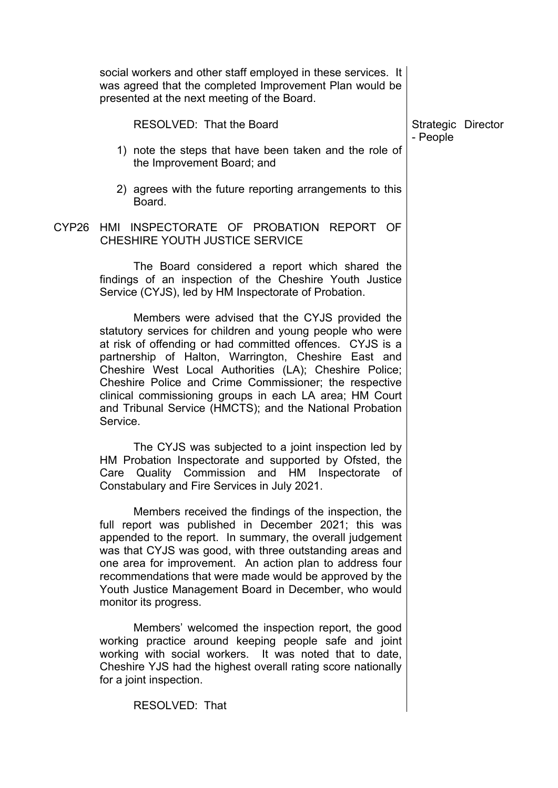|                   | social workers and other staff employed in these services. It<br>was agreed that the completed Improvement Plan would be<br>presented at the next meeting of the Board.                                                                                                                                                                                                                                                                                                                  |                    |  |
|-------------------|------------------------------------------------------------------------------------------------------------------------------------------------------------------------------------------------------------------------------------------------------------------------------------------------------------------------------------------------------------------------------------------------------------------------------------------------------------------------------------------|--------------------|--|
|                   | RESOLVED: That the Board                                                                                                                                                                                                                                                                                                                                                                                                                                                                 | Strategic Director |  |
|                   | 1) note the steps that have been taken and the role of<br>the Improvement Board; and                                                                                                                                                                                                                                                                                                                                                                                                     | - People           |  |
|                   | 2) agrees with the future reporting arrangements to this<br>Board.                                                                                                                                                                                                                                                                                                                                                                                                                       |                    |  |
| CYP <sub>26</sub> | HMI INSPECTORATE OF PROBATION<br>REPORT OF<br>CHESHIRE YOUTH JUSTICE SERVICE                                                                                                                                                                                                                                                                                                                                                                                                             |                    |  |
|                   | The Board considered a report which shared the<br>findings of an inspection of the Cheshire Youth Justice<br>Service (CYJS), led by HM Inspectorate of Probation.                                                                                                                                                                                                                                                                                                                        |                    |  |
|                   | Members were advised that the CYJS provided the<br>statutory services for children and young people who were<br>at risk of offending or had committed offences. CYJS is a<br>partnership of Halton, Warrington, Cheshire East and<br>Cheshire West Local Authorities (LA); Cheshire Police;<br>Cheshire Police and Crime Commissioner; the respective<br>clinical commissioning groups in each LA area; HM Court<br>and Tribunal Service (HMCTS); and the National Probation<br>Service. |                    |  |
|                   | The CYJS was subjected to a joint inspection led by<br>HM Probation Inspectorate and supported by Ofsted, the<br>Quality Commission and HM Inspectorate<br>Care<br>of<br>Constabulary and Fire Services in July 2021.                                                                                                                                                                                                                                                                    |                    |  |
|                   | Members received the findings of the inspection, the<br>full report was published in December 2021; this was<br>appended to the report. In summary, the overall judgement<br>was that CYJS was good, with three outstanding areas and<br>one area for improvement. An action plan to address four<br>recommendations that were made would be approved by the<br>Youth Justice Management Board in December, who would<br>monitor its progress.                                           |                    |  |
|                   | Members' welcomed the inspection report, the good<br>working practice around keeping people safe and joint<br>working with social workers. It was noted that to date,<br>Cheshire YJS had the highest overall rating score nationally<br>for a joint inspection.                                                                                                                                                                                                                         |                    |  |
|                   | RESOLVED: That                                                                                                                                                                                                                                                                                                                                                                                                                                                                           |                    |  |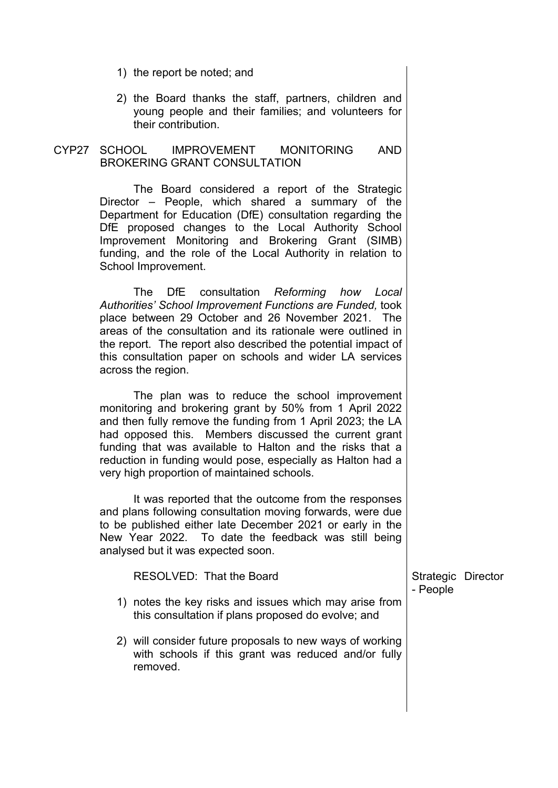- 1) the report be noted; and
- 2) the Board thanks the staff, partners, children and young people and their families; and volunteers for their contribution.

#### CYP27 SCHOOL IMPROVEMENT MONITORING AND BROKERING GRANT CONSULTATION

The Board considered a report of the Strategic Director – People, which shared a summary of the Department for Education (DfE) consultation regarding the DfE proposed changes to the Local Authority School Improvement Monitoring and Brokering Grant (SIMB) funding, and the role of the Local Authority in relation to School Improvement.

The DfE consultation *Reforming how Local Authorities' School Improvement Functions are Funded,* took place between 29 October and 26 November 2021. The areas of the consultation and its rationale were outlined in the report. The report also described the potential impact of this consultation paper on schools and wider LA services across the region.

The plan was to reduce the school improvement monitoring and brokering grant by 50% from 1 April 2022 and then fully remove the funding from 1 April 2023; the LA had opposed this. Members discussed the current grant funding that was available to Halton and the risks that a reduction in funding would pose, especially as Halton had a very high proportion of maintained schools.

It was reported that the outcome from the responses and plans following consultation moving forwards, were due to be published either late December 2021 or early in the New Year 2022. To date the feedback was still being analysed but it was expected soon.

| RESOLVED: That the Board                                                                                                    | Strategic Director<br>- People |  |
|-----------------------------------------------------------------------------------------------------------------------------|--------------------------------|--|
| 1) notes the key risks and issues which may arise from<br>this consultation if plans proposed do evolve; and                |                                |  |
| 2) will consider future proposals to new ways of working<br>with schools if this grant was reduced and/or fully<br>removed. |                                |  |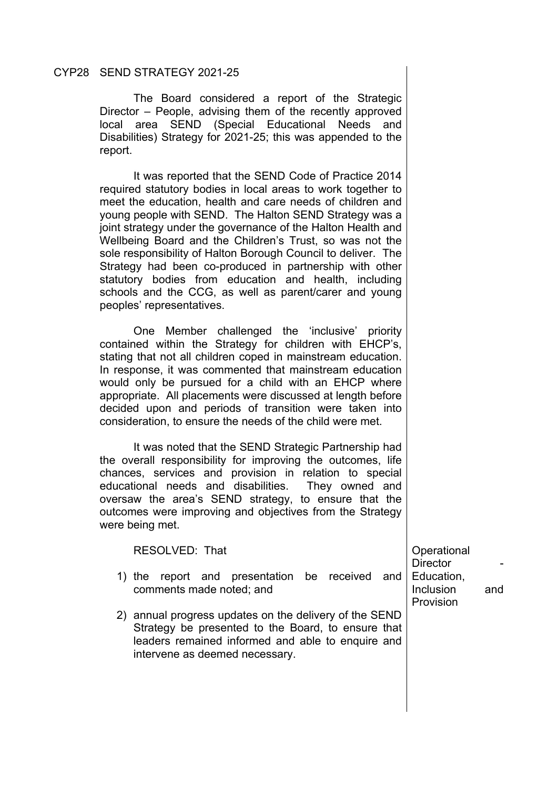#### CYP28 SEND STRATEGY 2021-25

The Board considered a report of the Strategic Director – People, advising them of the recently approved local area SEND (Special Educational Needs and Disabilities) Strategy for 2021-25; this was appended to the report.

It was reported that the SEND Code of Practice 2014 required statutory bodies in local areas to work together to meet the education, health and care needs of children and young people with SEND. The Halton SEND Strategy was a joint strategy under the governance of the Halton Health and Wellbeing Board and the Children's Trust, so was not the sole responsibility of Halton Borough Council to deliver. The Strategy had been co-produced in partnership with other statutory bodies from education and health, including schools and the CCG, as well as parent/carer and young peoples' representatives.

One Member challenged the 'inclusive' priority contained within the Strategy for children with EHCP's, stating that not all children coped in mainstream education. In response, it was commented that mainstream education would only be pursued for a child with an EHCP where appropriate. All placements were discussed at length before decided upon and periods of transition were taken into consideration, to ensure the needs of the child were met.

It was noted that the SEND Strategic Partnership had the overall responsibility for improving the outcomes, life chances, services and provision in relation to special educational needs and disabilities. They owned and oversaw the area's SEND strategy, to ensure that the outcomes were improving and objectives from the Strategy were being met.

RESOLVED: That

- 1) the report and presentation be received and comments made noted; and
- 2) annual progress updates on the delivery of the SEND Strategy be presented to the Board, to ensure that leaders remained informed and able to enquire and intervene as deemed necessary.

**Operational** Director Education, Inclusion and Provision